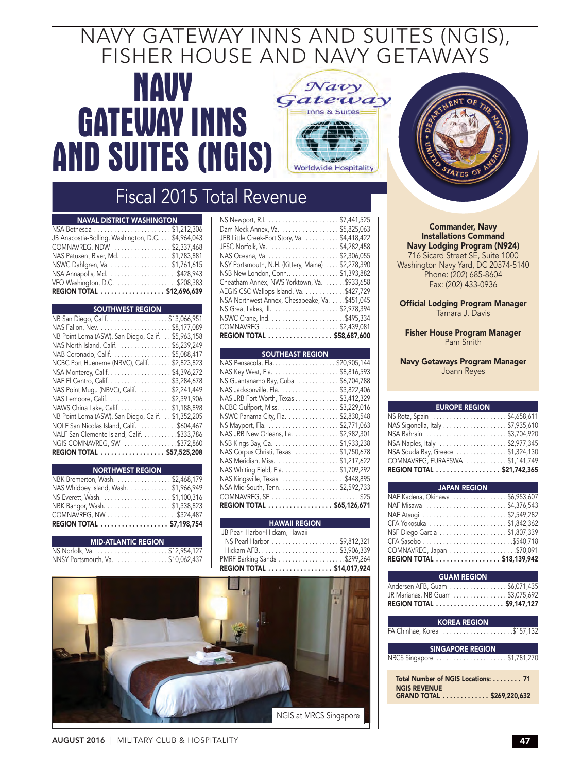## NAVY GATEWAY INNS AND SUITES (NGIS), FISHER HOUSE AND NAVY GETAWAYS

## **NAVY GATEWAY INNS AND SUITES (NGIS)**



## Fiscal 2015 Total Revenue

| <b>NAVAL DISTRICT WASHINGTON</b>                   |  |
|----------------------------------------------------|--|
|                                                    |  |
| JB Anacostia-Bolling, Washington, D.C. \$4,964,043 |  |
| COMNAVREG, NDW \$2,337,468                         |  |
| NAS Patuxent River, Md. \$1,783,881                |  |
| NSWC Dahlgren, Va. \$1,761,615                     |  |
|                                                    |  |
|                                                    |  |
| REGION TOTAL \$12,696,639                          |  |

#### SOUTHWEST REGION

| REGION TOTAL  \$57,525,208                         |  |
|----------------------------------------------------|--|
| NGIS COMNAVREG, SW \$372,860                       |  |
| NALF San Clemente Island, Calif. \$333,786         |  |
| NOLF San Nicolas Island, Calif. \$604,467          |  |
| NB Point Loma (ASW), San Diego, Calif. \$1,352,205 |  |
| NAWS China Lake, Calif. \$1,188,898                |  |
| NAS Lemoore, Calif. \$2,391,906                    |  |
| NAS Point Mugu (NBVC), Calif. \$2,241,449          |  |
| NAF El Centro, Calif. \$3,284,678                  |  |
| NSA Monterey, Calif. \$4,396,272                   |  |
| NCBC Port Hueneme (NBVC), Calif. \$2,823,823       |  |
| NAB Coronado, Calif. \$5,088,417                   |  |
| NAS North Island, Calif. \$6,239,249               |  |
| NB Point Loma (ASW), San Diego, Calif. \$5,963,158 |  |
|                                                    |  |
| NB San Diego, Calif. \$13,066,951                  |  |

| <b>NORTHWEST REGION</b>               |
|---------------------------------------|
| NBK Bremerton, Wash. \$2,468,179      |
| NAS Whidbey Island, Wash. \$1,966,949 |
|                                       |
| NBK Bangor, Wash. \$1,338,823         |
|                                       |
| REGION TOTAL \$7,198.754              |
|                                       |

#### MID-ATLANTIC REGION

| NNSY Portsmouth, Va. \$10,062,437 |  |  |
|-----------------------------------|--|--|
|                                   |  |  |

| Dam Neck Annex, Va. \$5,825,063                   |
|---------------------------------------------------|
| JEB Little Creek-Fort Story, Va. \$4,418,422      |
| JFSC Norfolk, Va. \$4,282,458                     |
|                                                   |
| NSY Portsmouth, N.H. (Kittery, Maine) \$2,278,390 |
| NSB New London, Conn\$1,393,882                   |
| Cheatham Annex, NWS Yorktown, Va. \$933,658       |
| AEGIS CSC Wallops Island, Va. \$427,729           |
| NSA Northwest Annex, Chesapeake, Va. \$451,045    |
|                                                   |
|                                                   |
| COMNAVREG \$2,439,081                             |
| REGION TOTAL \$58,687,600                         |

#### SOUTHEAST REGIO

| NAS Pensacola, Fla. \$20,905,144        |
|-----------------------------------------|
| NAS Key West, Fla. \$8,816,593          |
| NS Guantanamo Bay, Cuba \$6,704,788     |
| NAS Jacksonville, Fla. \$3,822,406      |
| NAS JRB Fort Worth, Texas \$3,412,329   |
| NCBC Gulfport, Miss. \$3,229,016        |
| NSWC Panama City, Fla. \$2,830,548      |
|                                         |
| NAS JRB New Orleans, La. \$2,982,301    |
| NSB Kings Bay, Ga. \$1,933,238          |
| NAS Corpus Christi, Texas   \$1,750,678 |
| NAS Meridian, Miss. \$1,217,622         |
| NAS Whiting Field, Fla. \$1,709,292     |
| NAS Kingsville, Texas \$448,895         |
| NSA Mid-South, Tenn. \$2,592,733        |
|                                         |
| REGION TOTAL \$65,126,671               |

| <b>HAWAII REGION</b>           |  |
|--------------------------------|--|
| JB Pearl Harbor-Hickam, Hawaii |  |
| NS Pearl Harbor \$9,812,321    |  |
|                                |  |
|                                |  |
| REGION TOTAL \$14,017,924      |  |





#### Commander, Navy Installations Command Navy Lodging Program (N924) 716 Sicard Street SE, Suite 1000 Washington Navy Yard, DC 20374-5140

Phone: (202) 685-8604 Fax: (202) 433-0936

#### Official Lodging Program Manager Tamara J. Davis

Fisher House Program Manager Pam Smith

#### Navy Getaways Program Manager Joann Reyes

| <b>EUROPE REGION</b>              |
|-----------------------------------|
|                                   |
| NAS Sigonella, Italy \$7,935,610  |
|                                   |
| NSA Naples, Italy \$2,977,345     |
| NSA Souda Bay, Greece \$1,324,130 |
| COMNAVREG, EURAFSWA \$1,141,749   |
| REGION TOTAL  \$21,742,365        |

| <b>Example 3 JAPAN REGION</b>   |
|---------------------------------|
| NAF Kadena, Okinawa \$6,953,607 |
| NAF Misawa \$4,376,543          |
|                                 |
|                                 |
| NSF Diego Garcia \$1,807,339    |
| CFA Sasebo \$540,718            |
|                                 |
| REGION TOTAL  \$18,139,942      |

| <b>GUAM REGION</b>                                    |
|-------------------------------------------------------|
| Andersen AFB, Guam \$6,071,435                        |
| JR Marianas, NB Guam \$3,075,692                      |
| REGION TOTAL  \$9.147.127                             |
|                                                       |
| <b>KOREA REGION</b>                                   |
| FA Chinhae, Korea \$157,132                           |
|                                                       |
| <b>SINGAPORE REGION</b><br>NRCS Singapore \$1,781,270 |
|                                                       |

| Total Number of NGIS Locations:  71 |
|-------------------------------------|
| <b>NGIS REVENUE</b>                 |
| GRAND TOTAL  \$269,220,632          |